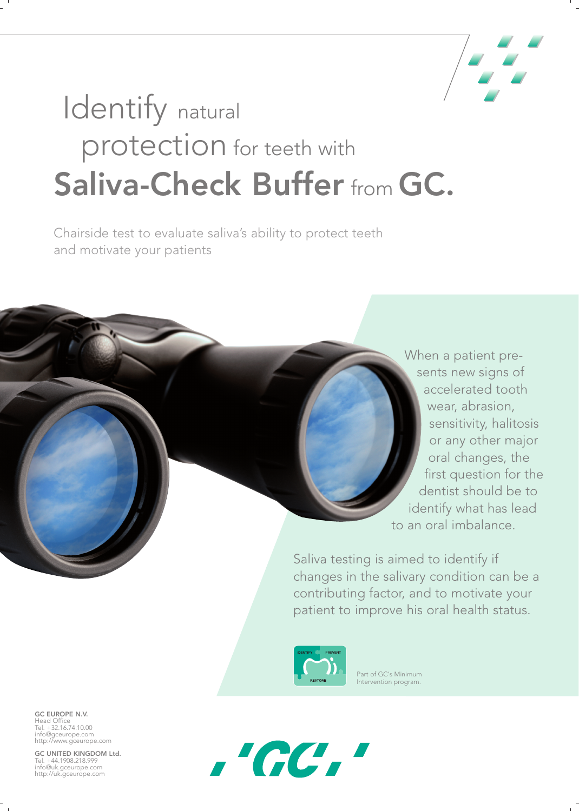

## Identify natural protection for teeth with **Saliva-Check Buffer** from **GC.**

Chairside test to evaluate saliva's ability to protect teeth and motivate your patients

> When a patient presents new signs of accelerated tooth wear, abrasion, sensitivity, halitosis or any other major oral changes, the first question for the dentist should be to identify what has lead to an oral imbalance.

Saliva testing is aimed to identify if changes in the salivary condition can be a contributing factor, and to motivate your patient to improve his oral health status.



Part of GC's Minimum Intervention program.

**GC EUROPE N.V.** Head Office Tel. +32.16.74.10.00 info@gceurope.com http://www.gceurope.com

**GC UNITED KINGDOM Ltd.** Tel. +44.1908.218.999 info@uk.gceurope.com http://uk.gceurope.com